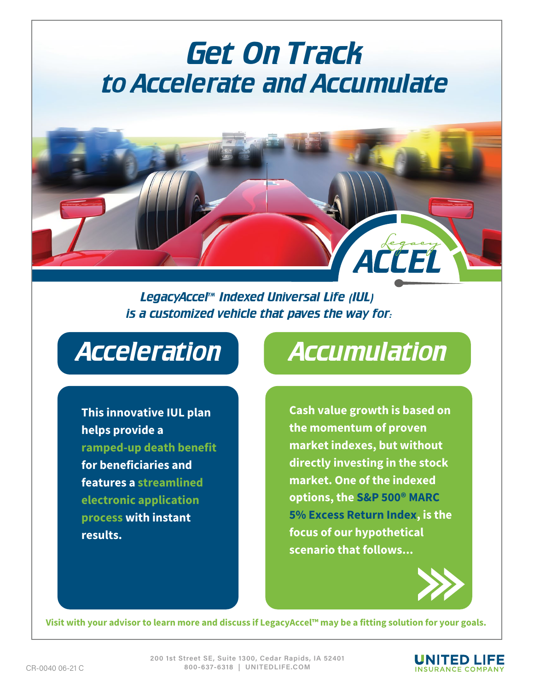# Get On Track to Accelerate and Accumulate

LegacyAccel™ Indexed Universal Life (IUL) is a customized vehicle that paves the way for:

This innovative IUL plan helps provide a ramped-up death benefit for beneficiaries and features a streamlined electronic application process with instant results.

### Acceleration Accumulation

ACCEL

Cash value growth is based on the momentum of proven market indexes, but without directly investing in the stock market. One of the indexed options, the S&P 500<sup>®</sup> MARC 5% Excess Return Index, is the focus of our hypothetical scenario that follows...



Visit with your advisor to learn more and discuss if LegacyAccel™ may be a fitting solution for your goals.